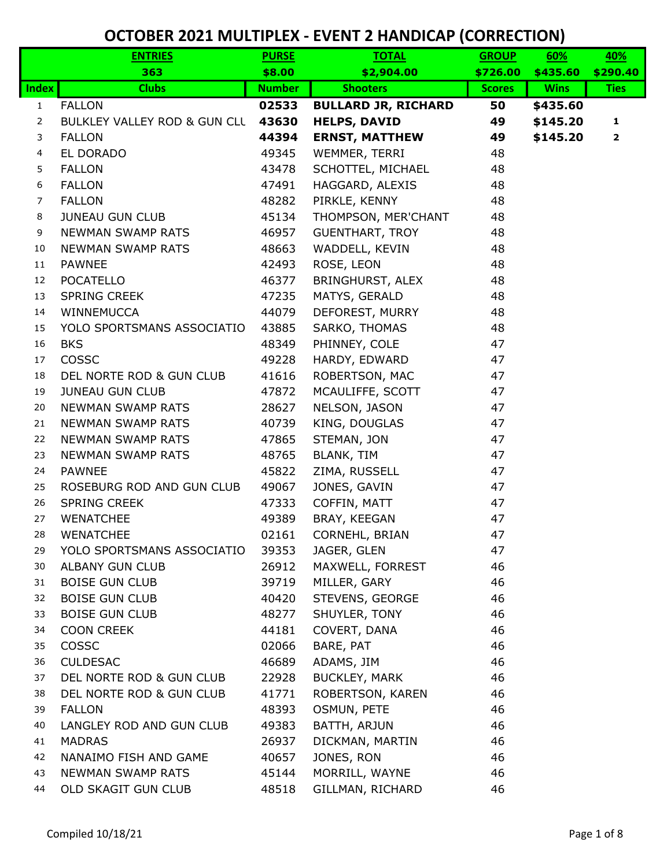|                | <b>ENTRIES</b>               | <b>PURSE</b>  | <b>TOTAL</b>               | <b>GROUP</b>  | 60%         | 40%          |
|----------------|------------------------------|---------------|----------------------------|---------------|-------------|--------------|
|                | 363                          | \$8.00        | \$2,904.00                 | \$726.00      | \$435.60    | \$290.40     |
| <b>Index</b>   | <b>Clubs</b>                 | <b>Number</b> | <b>Shooters</b>            | <b>Scores</b> | <b>Wins</b> | <b>Ties</b>  |
| $\mathbf{1}$   | <b>FALLON</b>                | 02533         | <b>BULLARD JR, RICHARD</b> | 50            | \$435.60    |              |
| $\overline{2}$ | BULKLEY VALLEY ROD & GUN CLL | 43630         | <b>HELPS, DAVID</b>        | 49            | \$145.20    | 1            |
| 3              | <b>FALLON</b>                | 44394         | <b>ERNST, MATTHEW</b>      | 49            | \$145.20    | $\mathbf{2}$ |
| 4              | EL DORADO                    | 49345         | WEMMER, TERRI              | 48            |             |              |
| 5              | <b>FALLON</b>                | 43478         | SCHOTTEL, MICHAEL          | 48            |             |              |
| 6              | <b>FALLON</b>                | 47491         | HAGGARD, ALEXIS            | 48            |             |              |
| $\overline{7}$ | <b>FALLON</b>                | 48282         | PIRKLE, KENNY              | 48            |             |              |
| 8              | <b>JUNEAU GUN CLUB</b>       | 45134         | THOMPSON, MER'CHANT        | 48            |             |              |
| 9              | <b>NEWMAN SWAMP RATS</b>     | 46957         | <b>GUENTHART, TROY</b>     | 48            |             |              |
| 10             | <b>NEWMAN SWAMP RATS</b>     | 48663         | WADDELL, KEVIN             | 48            |             |              |
| 11             | <b>PAWNEE</b>                | 42493         | ROSE, LEON                 | 48            |             |              |
| 12             | <b>POCATELLO</b>             | 46377         | BRINGHURST, ALEX           | 48            |             |              |
| 13             | <b>SPRING CREEK</b>          | 47235         | MATYS, GERALD              | 48            |             |              |
| 14             | WINNEMUCCA                   | 44079         | DEFOREST, MURRY            | 48            |             |              |
| 15             | YOLO SPORTSMANS ASSOCIATIO   | 43885         | SARKO, THOMAS              | 48            |             |              |
| 16             | <b>BKS</b>                   | 48349         | PHINNEY, COLE              | 47            |             |              |
| 17             | COSSC                        | 49228         | HARDY, EDWARD              | 47            |             |              |
| 18             | DEL NORTE ROD & GUN CLUB     | 41616         | ROBERTSON, MAC             | 47            |             |              |
| 19             | <b>JUNEAU GUN CLUB</b>       | 47872         | MCAULIFFE, SCOTT           | 47            |             |              |
| 20             | <b>NEWMAN SWAMP RATS</b>     | 28627         | NELSON, JASON              | 47            |             |              |
| 21             | <b>NEWMAN SWAMP RATS</b>     | 40739         | KING, DOUGLAS              | 47            |             |              |
| 22             | <b>NEWMAN SWAMP RATS</b>     | 47865         | STEMAN, JON                | 47            |             |              |
| 23             | <b>NEWMAN SWAMP RATS</b>     | 48765         | BLANK, TIM                 | 47            |             |              |
| 24             | <b>PAWNEE</b>                | 45822         | ZIMA, RUSSELL              | 47            |             |              |
| 25             | ROSEBURG ROD AND GUN CLUB    | 49067         | JONES, GAVIN               | 47            |             |              |
| 26             | <b>SPRING CREEK</b>          | 47333         | COFFIN, MATT               | 47            |             |              |
| 27             | <b>WENATCHEE</b>             | 49389         | BRAY, KEEGAN               | 47            |             |              |
| 28             | <b>WENATCHEE</b>             | 02161         | CORNEHL, BRIAN             | 47            |             |              |
| 29             | YOLO SPORTSMANS ASSOCIATIO   | 39353         | JAGER, GLEN                | 47            |             |              |
| 30             | <b>ALBANY GUN CLUB</b>       | 26912         | MAXWELL, FORREST           | 46            |             |              |
| 31             | <b>BOISE GUN CLUB</b>        | 39719         | MILLER, GARY               | 46            |             |              |
| 32             | <b>BOISE GUN CLUB</b>        | 40420         | STEVENS, GEORGE            | 46            |             |              |
| 33             | <b>BOISE GUN CLUB</b>        | 48277         | SHUYLER, TONY              | 46            |             |              |
| 34             | <b>COON CREEK</b>            | 44181         | COVERT, DANA               | 46            |             |              |
| 35             | COSSC                        | 02066         | BARE, PAT                  | 46            |             |              |
| 36             | <b>CULDESAC</b>              | 46689         | ADAMS, JIM                 | 46            |             |              |
| 37             | DEL NORTE ROD & GUN CLUB     | 22928         | <b>BUCKLEY, MARK</b>       | 46            |             |              |
| 38             | DEL NORTE ROD & GUN CLUB     | 41771         | ROBERTSON, KAREN           | 46            |             |              |
| 39             | <b>FALLON</b>                | 48393         | OSMUN, PETE                | 46            |             |              |
| 40             | LANGLEY ROD AND GUN CLUB     | 49383         | BATTH, ARJUN               | 46            |             |              |
| 41             | <b>MADRAS</b>                | 26937         | DICKMAN, MARTIN            | 46            |             |              |
| 42             | NANAIMO FISH AND GAME        | 40657         | JONES, RON                 | 46            |             |              |
| 43             | NEWMAN SWAMP RATS            | 45144         | MORRILL, WAYNE             | 46            |             |              |
| 44             | OLD SKAGIT GUN CLUB          | 48518         | GILLMAN, RICHARD           | 46            |             |              |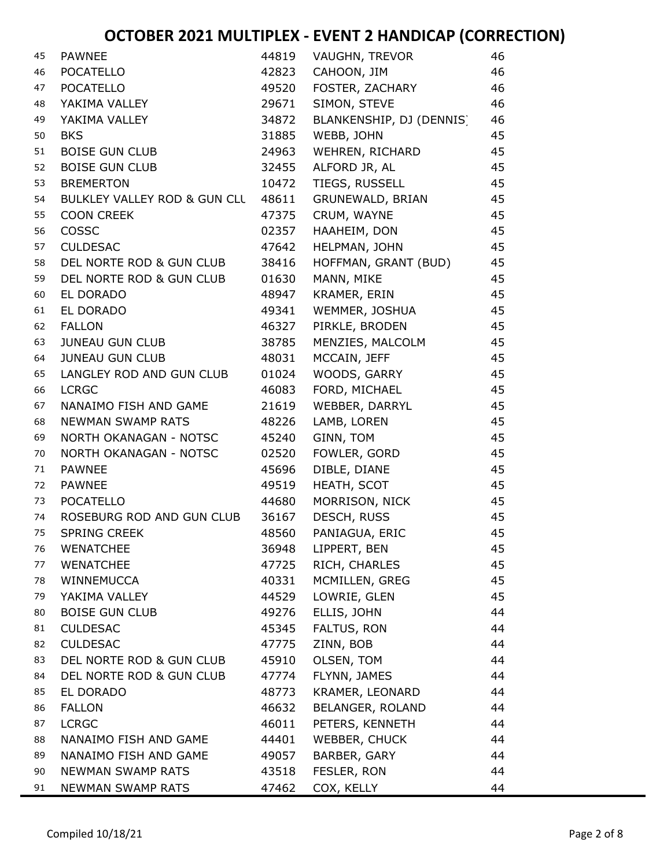| 45 | <b>PAWNEE</b>                | 44819 | <b>VAUGHN, TREVOR</b>    | 46 |
|----|------------------------------|-------|--------------------------|----|
| 46 | <b>POCATELLO</b>             | 42823 | CAHOON, JIM              | 46 |
| 47 | <b>POCATELLO</b>             | 49520 | FOSTER, ZACHARY          | 46 |
| 48 | YAKIMA VALLEY                | 29671 | SIMON, STEVE             | 46 |
| 49 | YAKIMA VALLEY                | 34872 | BLANKENSHIP, DJ (DENNIS) | 46 |
| 50 | <b>BKS</b>                   | 31885 | WEBB, JOHN               | 45 |
| 51 | <b>BOISE GUN CLUB</b>        | 24963 | WEHREN, RICHARD          | 45 |
| 52 | <b>BOISE GUN CLUB</b>        | 32455 | ALFORD JR, AL            | 45 |
| 53 | <b>BREMERTON</b>             | 10472 | TIEGS, RUSSELL           | 45 |
| 54 | BULKLEY VALLEY ROD & GUN CLU | 48611 | GRUNEWALD, BRIAN         | 45 |
| 55 | <b>COON CREEK</b>            | 47375 | CRUM, WAYNE              | 45 |
| 56 | COSSC                        | 02357 | HAAHEIM, DON             | 45 |
| 57 | <b>CULDESAC</b>              | 47642 | HELPMAN, JOHN            | 45 |
| 58 | DEL NORTE ROD & GUN CLUB     | 38416 | HOFFMAN, GRANT (BUD)     | 45 |
| 59 | DEL NORTE ROD & GUN CLUB     | 01630 | MANN, MIKE               | 45 |
| 60 | EL DORADO                    | 48947 | KRAMER, ERIN             | 45 |
| 61 | EL DORADO                    | 49341 | WEMMER, JOSHUA           | 45 |
| 62 | <b>FALLON</b>                | 46327 | PIRKLE, BRODEN           | 45 |
| 63 | <b>JUNEAU GUN CLUB</b>       | 38785 | MENZIES, MALCOLM         | 45 |
| 64 | <b>JUNEAU GUN CLUB</b>       | 48031 | MCCAIN, JEFF             | 45 |
| 65 | LANGLEY ROD AND GUN CLUB     | 01024 | WOODS, GARRY             | 45 |
| 66 | <b>LCRGC</b>                 | 46083 | FORD, MICHAEL            | 45 |
| 67 | NANAIMO FISH AND GAME        | 21619 | WEBBER, DARRYL           | 45 |
| 68 | <b>NEWMAN SWAMP RATS</b>     | 48226 | LAMB, LOREN              | 45 |
| 69 | NORTH OKANAGAN - NOTSC       | 45240 | GINN, TOM                | 45 |
| 70 | NORTH OKANAGAN - NOTSC       | 02520 | FOWLER, GORD             | 45 |
| 71 | <b>PAWNEE</b>                | 45696 | DIBLE, DIANE             | 45 |
| 72 | <b>PAWNEE</b>                | 49519 | HEATH, SCOT              | 45 |
| 73 | <b>POCATELLO</b>             | 44680 | MORRISON, NICK           | 45 |
| 74 | ROSEBURG ROD AND GUN CLUB    | 36167 | DESCH, RUSS              | 45 |
| 75 | <b>SPRING CREEK</b>          | 48560 | PANIAGUA, ERIC           | 45 |
| 76 | <b>WENATCHEE</b>             | 36948 | LIPPERT, BEN             | 45 |
| 77 | <b>WENATCHEE</b>             | 47725 | RICH, CHARLES            | 45 |
| 78 | WINNEMUCCA                   | 40331 | MCMILLEN, GREG           | 45 |
| 79 | YAKIMA VALLEY                | 44529 | LOWRIE, GLEN             | 45 |
| 80 | <b>BOISE GUN CLUB</b>        | 49276 | ELLIS, JOHN              | 44 |
| 81 | <b>CULDESAC</b>              | 45345 | FALTUS, RON              | 44 |
| 82 | <b>CULDESAC</b>              | 47775 | ZINN, BOB                | 44 |
| 83 | DEL NORTE ROD & GUN CLUB     | 45910 | OLSEN, TOM               | 44 |
| 84 | DEL NORTE ROD & GUN CLUB     | 47774 | FLYNN, JAMES             | 44 |
| 85 | EL DORADO                    | 48773 | KRAMER, LEONARD          | 44 |
| 86 | <b>FALLON</b>                | 46632 | BELANGER, ROLAND         | 44 |
| 87 | <b>LCRGC</b>                 | 46011 | PETERS, KENNETH          | 44 |
| 88 | NANAIMO FISH AND GAME        | 44401 | WEBBER, CHUCK            | 44 |
| 89 | NANAIMO FISH AND GAME        | 49057 | BARBER, GARY             | 44 |
| 90 | <b>NEWMAN SWAMP RATS</b>     | 43518 | FESLER, RON              | 44 |
| 91 | <b>NEWMAN SWAMP RATS</b>     | 47462 | COX, KELLY               | 44 |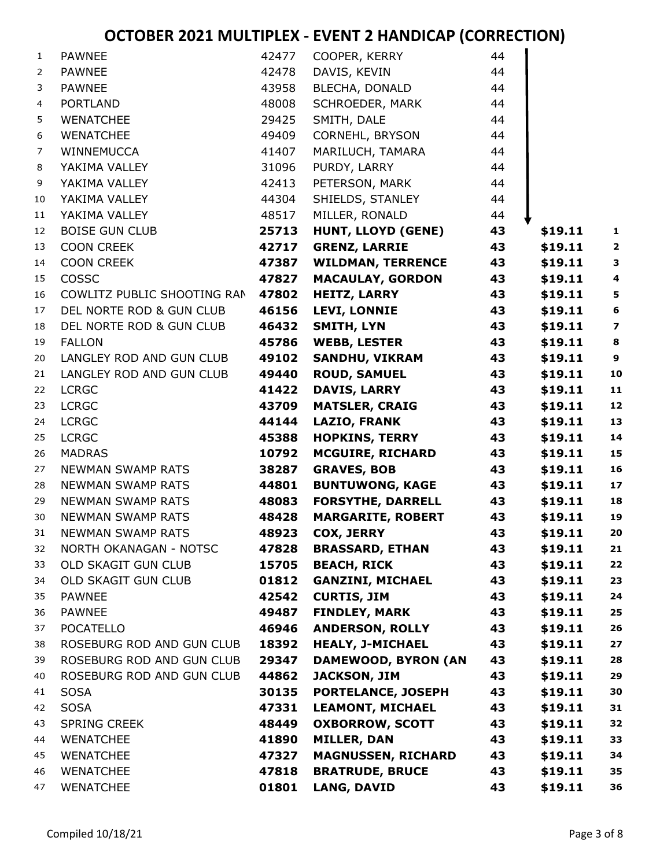| 1              | <b>PAWNEE</b>               | 42477 | COOPER, KERRY             | 44 |         |                         |
|----------------|-----------------------------|-------|---------------------------|----|---------|-------------------------|
| $\overline{2}$ | <b>PAWNEE</b>               | 42478 | DAVIS, KEVIN              | 44 |         |                         |
| 3              | <b>PAWNEE</b>               | 43958 | BLECHA, DONALD            | 44 |         |                         |
| 4              | <b>PORTLAND</b>             | 48008 | SCHROEDER, MARK           | 44 |         |                         |
| 5              | <b>WENATCHEE</b>            | 29425 | SMITH, DALE               | 44 |         |                         |
| 6              | WENATCHEE                   | 49409 | CORNEHL, BRYSON           | 44 |         |                         |
| 7              | WINNEMUCCA                  | 41407 | MARILUCH, TAMARA          | 44 |         |                         |
| 8              | YAKIMA VALLEY               | 31096 | PURDY, LARRY              | 44 |         |                         |
| 9              | YAKIMA VALLEY               | 42413 | PETERSON, MARK            | 44 |         |                         |
| 10             | YAKIMA VALLEY               | 44304 | SHIELDS, STANLEY          | 44 |         |                         |
| 11             | YAKIMA VALLEY               | 48517 | MILLER, RONALD            | 44 |         |                         |
| 12             | <b>BOISE GUN CLUB</b>       | 25713 | HUNT, LLOYD (GENE)        | 43 | \$19.11 | $\mathbf{1}$            |
| 13             | <b>COON CREEK</b>           | 42717 | <b>GRENZ, LARRIE</b>      | 43 | \$19.11 | $\overline{\mathbf{2}}$ |
| 14             | <b>COON CREEK</b>           | 47387 | <b>WILDMAN, TERRENCE</b>  | 43 | \$19.11 | 3                       |
| 15             | <b>COSSC</b>                | 47827 | <b>MACAULAY, GORDON</b>   | 43 | \$19.11 | $\overline{\mathbf{4}}$ |
| 16             | COWLITZ PUBLIC SHOOTING RAN | 47802 | <b>HEITZ, LARRY</b>       | 43 | \$19.11 | $\overline{\mathbf{5}}$ |
| 17             | DEL NORTE ROD & GUN CLUB    | 46156 | <b>LEVI, LONNIE</b>       | 43 | \$19.11 | $\bf 6$                 |
| 18             | DEL NORTE ROD & GUN CLUB    | 46432 | <b>SMITH, LYN</b>         | 43 | \$19.11 | $\overline{\mathbf{z}}$ |
| 19             | <b>FALLON</b>               | 45786 | <b>WEBB, LESTER</b>       | 43 | \$19.11 | $\bf8$                  |
| 20             | LANGLEY ROD AND GUN CLUB    | 49102 | <b>SANDHU, VIKRAM</b>     | 43 | \$19.11 | $\boldsymbol{9}$        |
| 21             | LANGLEY ROD AND GUN CLUB    | 49440 | <b>ROUD, SAMUEL</b>       | 43 | \$19.11 | 10                      |
| 22             | <b>LCRGC</b>                | 41422 | <b>DAVIS, LARRY</b>       | 43 | \$19.11 | 11                      |
| 23             | <b>LCRGC</b>                | 43709 | <b>MATSLER, CRAIG</b>     | 43 | \$19.11 | 12                      |
| 24             | <b>LCRGC</b>                | 44144 | <b>LAZIO, FRANK</b>       | 43 | \$19.11 | 13                      |
| 25             | <b>LCRGC</b>                | 45388 | <b>HOPKINS, TERRY</b>     | 43 | \$19.11 | 14                      |
| 26             | <b>MADRAS</b>               | 10792 | <b>MCGUIRE, RICHARD</b>   | 43 | \$19.11 | 15                      |
| 27             | <b>NEWMAN SWAMP RATS</b>    | 38287 | <b>GRAVES, BOB</b>        | 43 | \$19.11 | 16                      |
| 28             | <b>NEWMAN SWAMP RATS</b>    | 44801 | <b>BUNTUWONG, KAGE</b>    | 43 | \$19.11 | $17$                    |
| 29             | <b>NEWMAN SWAMP RATS</b>    | 48083 | <b>FORSYTHE, DARRELL</b>  | 43 | \$19.11 | 18                      |
| 30             | <b>NEWMAN SWAMP RATS</b>    | 48428 | <b>MARGARITE, ROBERT</b>  | 43 | \$19.11 | 19                      |
| 31             | <b>NEWMAN SWAMP RATS</b>    | 48923 | <b>COX, JERRY</b>         | 43 | \$19.11 | 20                      |
| 32             | NORTH OKANAGAN - NOTSC      | 47828 | <b>BRASSARD, ETHAN</b>    | 43 | \$19.11 | 21                      |
| 33             | OLD SKAGIT GUN CLUB         | 15705 | <b>BEACH, RICK</b>        | 43 | \$19.11 | 22                      |
| 34             | OLD SKAGIT GUN CLUB         | 01812 | <b>GANZINI, MICHAEL</b>   | 43 | \$19.11 | 23                      |
| 35             | <b>PAWNEE</b>               | 42542 | <b>CURTIS, JIM</b>        | 43 | \$19.11 | ${\bf 24}$              |
| 36             | <b>PAWNEE</b>               | 49487 | <b>FINDLEY, MARK</b>      | 43 | \$19.11 | 25                      |
| 37             | <b>POCATELLO</b>            | 46946 | <b>ANDERSON, ROLLY</b>    | 43 | \$19.11 | 26                      |
| 38             | ROSEBURG ROD AND GUN CLUB   | 18392 | <b>HEALY, J-MICHAEL</b>   | 43 | \$19.11 | 27                      |
| 39             | ROSEBURG ROD AND GUN CLUB   | 29347 | DAMEWOOD, BYRON (AN       | 43 | \$19.11 | 28                      |
| 40             | ROSEBURG ROD AND GUN CLUB   | 44862 | <b>JACKSON, JIM</b>       | 43 | \$19.11 | 29                      |
| 41             | <b>SOSA</b>                 | 30135 | PORTELANCE, JOSEPH        | 43 | \$19.11 | 30                      |
| 42             | <b>SOSA</b>                 | 47331 | <b>LEAMONT, MICHAEL</b>   | 43 | \$19.11 | 31                      |
| 43             | <b>SPRING CREEK</b>         | 48449 | <b>OXBORROW, SCOTT</b>    | 43 | \$19.11 | 32                      |
| 44             | <b>WENATCHEE</b>            | 41890 | <b>MILLER, DAN</b>        | 43 | \$19.11 | 33                      |
| 45             | <b>WENATCHEE</b>            | 47327 | <b>MAGNUSSEN, RICHARD</b> | 43 | \$19.11 | 34                      |
| 46             | <b>WENATCHEE</b>            | 47818 | <b>BRATRUDE, BRUCE</b>    | 43 | \$19.11 | 35                      |
| 47             | <b>WENATCHEE</b>            | 01801 | <b>LANG, DAVID</b>        | 43 | \$19.11 | 36                      |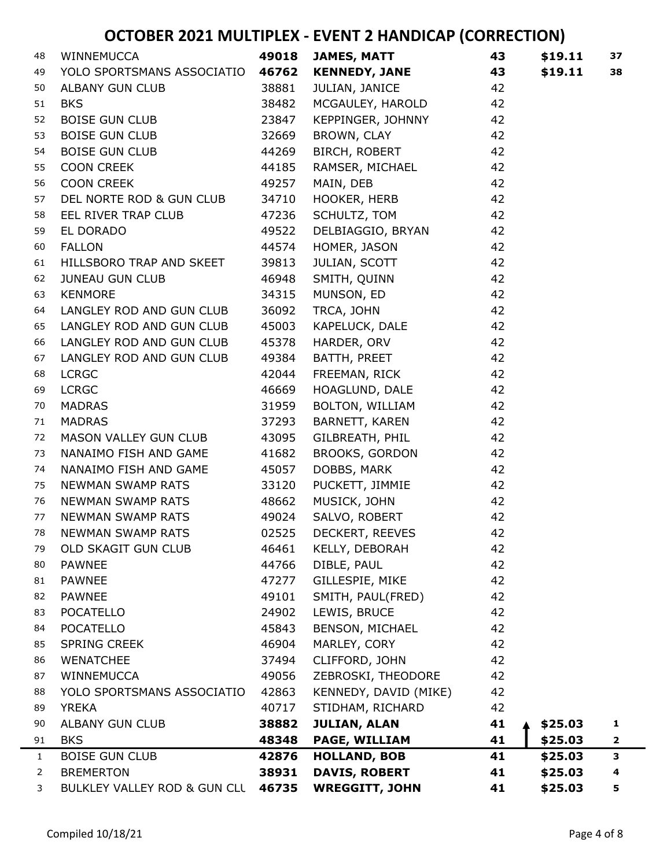| 48             | WINNEMUCCA                   | 49018 | JAMES, MATT           | 43 | \$19.11 | 37           |
|----------------|------------------------------|-------|-----------------------|----|---------|--------------|
| 49             | YOLO SPORTSMANS ASSOCIATIO   | 46762 | <b>KENNEDY, JANE</b>  | 43 | \$19.11 | 38           |
| 50             | ALBANY GUN CLUB              | 38881 | JULIAN, JANICE        | 42 |         |              |
| 51             | <b>BKS</b>                   | 38482 | MCGAULEY, HAROLD      | 42 |         |              |
| 52             | <b>BOISE GUN CLUB</b>        | 23847 | KEPPINGER, JOHNNY     | 42 |         |              |
| 53             | <b>BOISE GUN CLUB</b>        | 32669 | BROWN, CLAY           | 42 |         |              |
| 54             | <b>BOISE GUN CLUB</b>        | 44269 | BIRCH, ROBERT         | 42 |         |              |
| 55             | <b>COON CREEK</b>            | 44185 | RAMSER, MICHAEL       | 42 |         |              |
| 56             | COON CREEK                   | 49257 | MAIN, DEB             | 42 |         |              |
| 57             | DEL NORTE ROD & GUN CLUB     | 34710 | HOOKER, HERB          | 42 |         |              |
| 58             | EEL RIVER TRAP CLUB          | 47236 | SCHULTZ, TOM          | 42 |         |              |
| 59             | EL DORADO                    | 49522 | DELBIAGGIO, BRYAN     | 42 |         |              |
| 60             | <b>FALLON</b>                | 44574 | HOMER, JASON          | 42 |         |              |
| 61             | HILLSBORO TRAP AND SKEET     | 39813 | JULIAN, SCOTT         | 42 |         |              |
| 62             | <b>JUNEAU GUN CLUB</b>       | 46948 | SMITH, QUINN          | 42 |         |              |
| 63             | <b>KENMORE</b>               | 34315 | MUNSON, ED            | 42 |         |              |
| 64             | LANGLEY ROD AND GUN CLUB     | 36092 | TRCA, JOHN            | 42 |         |              |
| 65             | LANGLEY ROD AND GUN CLUB     | 45003 | KAPELUCK, DALE        | 42 |         |              |
| 66             | LANGLEY ROD AND GUN CLUB     | 45378 | HARDER, ORV           | 42 |         |              |
| 67             | LANGLEY ROD AND GUN CLUB     | 49384 | BATTH, PREET          | 42 |         |              |
| 68             | <b>LCRGC</b>                 | 42044 | FREEMAN, RICK         | 42 |         |              |
| 69             | <b>LCRGC</b>                 | 46669 | HOAGLUND, DALE        | 42 |         |              |
| 70             | <b>MADRAS</b>                | 31959 | BOLTON, WILLIAM       | 42 |         |              |
| 71             | <b>MADRAS</b>                | 37293 | BARNETT, KAREN        | 42 |         |              |
| 72             | MASON VALLEY GUN CLUB        | 43095 | GILBREATH, PHIL       | 42 |         |              |
| 73             | NANAIMO FISH AND GAME        | 41682 | BROOKS, GORDON        | 42 |         |              |
| 74             | NANAIMO FISH AND GAME        | 45057 | DOBBS, MARK           | 42 |         |              |
| 75             | NEWMAN SWAMP RATS            | 33120 | PUCKETT, JIMMIE       | 42 |         |              |
| 76             | NEWMAN SWAMP RATS            | 48662 | MUSICK, JOHN          | 42 |         |              |
| 77             | <b>NEWMAN SWAMP RATS</b>     | 49024 | SALVO, ROBERT         | 42 |         |              |
| 78             | NEWMAN SWAMP RATS            | 02525 | DECKERT, REEVES       | 42 |         |              |
| 79             | OLD SKAGIT GUN CLUB          | 46461 | KELLY, DEBORAH        | 42 |         |              |
| 80             | <b>PAWNEE</b>                | 44766 | DIBLE, PAUL           | 42 |         |              |
| 81             | <b>PAWNEE</b>                | 47277 | GILLESPIE, MIKE       | 42 |         |              |
| 82             | <b>PAWNEE</b>                | 49101 | SMITH, PAUL(FRED)     | 42 |         |              |
| 83             | <b>POCATELLO</b>             | 24902 | LEWIS, BRUCE          | 42 |         |              |
| 84             | <b>POCATELLO</b>             | 45843 | BENSON, MICHAEL       | 42 |         |              |
| 85             | <b>SPRING CREEK</b>          | 46904 | MARLEY, CORY          | 42 |         |              |
| 86             | <b>WENATCHEE</b>             | 37494 | CLIFFORD, JOHN        | 42 |         |              |
| 87             | WINNEMUCCA                   | 49056 | ZEBROSKI, THEODORE    | 42 |         |              |
| 88             | YOLO SPORTSMANS ASSOCIATIO   | 42863 | KENNEDY, DAVID (MIKE) | 42 |         |              |
| 89             | <b>YREKA</b>                 | 40717 | STIDHAM, RICHARD      | 42 |         |              |
| 90             | <b>ALBANY GUN CLUB</b>       | 38882 | <b>JULIAN, ALAN</b>   | 41 | \$25.03 | 1            |
| 91             | <b>BKS</b>                   | 48348 | PAGE, WILLIAM         | 41 | \$25.03 | $\mathbf{2}$ |
| $\mathbf{1}$   | <b>BOISE GUN CLUB</b>        | 42876 | <b>HOLLAND, BOB</b>   | 41 | \$25.03 | 3            |
| $\overline{2}$ | <b>BREMERTON</b>             | 38931 | <b>DAVIS, ROBERT</b>  | 41 | \$25.03 | 4            |
| 3              | BULKLEY VALLEY ROD & GUN CLL | 46735 | <b>WREGGITT, JOHN</b> | 41 | \$25.03 | 5            |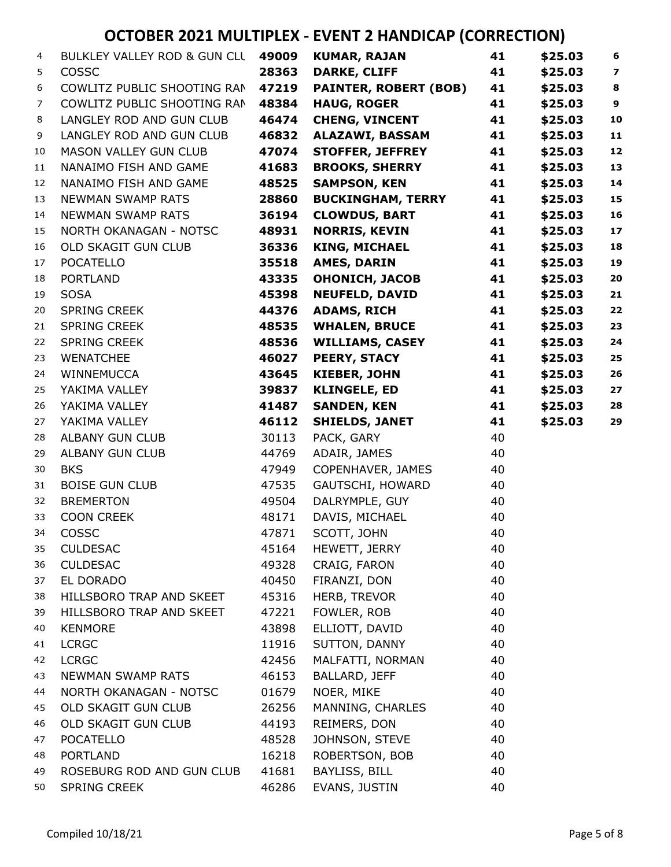| 4  | BULKLEY VALLEY ROD & GUN CLL | 49009 | <b>KUMAR, RAJAN</b>          | 41 | \$25.03 | 6                       |
|----|------------------------------|-------|------------------------------|----|---------|-------------------------|
| 5  | COSSC                        | 28363 | <b>DARKE, CLIFF</b>          | 41 | \$25.03 | $\overline{\mathbf{z}}$ |
| 6  | COWLITZ PUBLIC SHOOTING RAN  | 47219 | <b>PAINTER, ROBERT (BOB)</b> | 41 | \$25.03 | 8                       |
| 7  | COWLITZ PUBLIC SHOOTING RAN  | 48384 | <b>HAUG, ROGER</b>           | 41 | \$25.03 | $\boldsymbol{9}$        |
| 8  | LANGLEY ROD AND GUN CLUB     | 46474 | <b>CHENG, VINCENT</b>        | 41 | \$25.03 | 10                      |
| 9  | LANGLEY ROD AND GUN CLUB     | 46832 | ALAZAWI, BASSAM              | 41 | \$25.03 | $\mathbf{11}$           |
| 10 | MASON VALLEY GUN CLUB        | 47074 | <b>STOFFER, JEFFREY</b>      | 41 | \$25.03 | 12                      |
| 11 | NANAIMO FISH AND GAME        | 41683 | <b>BROOKS, SHERRY</b>        | 41 | \$25.03 | 13                      |
| 12 | NANAIMO FISH AND GAME        | 48525 | <b>SAMPSON, KEN</b>          | 41 | \$25.03 | 14                      |
| 13 | <b>NEWMAN SWAMP RATS</b>     | 28860 | <b>BUCKINGHAM, TERRY</b>     | 41 | \$25.03 | 15                      |
| 14 | <b>NEWMAN SWAMP RATS</b>     | 36194 | <b>CLOWDUS, BART</b>         | 41 | \$25.03 | 16                      |
| 15 | NORTH OKANAGAN - NOTSC       | 48931 | <b>NORRIS, KEVIN</b>         | 41 | \$25.03 | 17                      |
| 16 | OLD SKAGIT GUN CLUB          | 36336 | <b>KING, MICHAEL</b>         | 41 | \$25.03 | 18                      |
| 17 | <b>POCATELLO</b>             | 35518 | <b>AMES, DARIN</b>           | 41 | \$25.03 | 19                      |
| 18 | <b>PORTLAND</b>              | 43335 | <b>OHONICH, JACOB</b>        | 41 | \$25.03 | 20                      |
| 19 | <b>SOSA</b>                  | 45398 | <b>NEUFELD, DAVID</b>        | 41 | \$25.03 | 21                      |
| 20 | SPRING CREEK                 | 44376 | <b>ADAMS, RICH</b>           | 41 | \$25.03 | 22                      |
| 21 | <b>SPRING CREEK</b>          | 48535 | <b>WHALEN, BRUCE</b>         | 41 | \$25.03 | 23                      |
| 22 | <b>SPRING CREEK</b>          | 48536 | <b>WILLIAMS, CASEY</b>       | 41 | \$25.03 | 24                      |
| 23 | <b>WENATCHEE</b>             | 46027 | <b>PEERY, STACY</b>          | 41 | \$25.03 | 25                      |
| 24 | WINNEMUCCA                   | 43645 | <b>KIEBER, JOHN</b>          | 41 | \$25.03 | 26                      |
| 25 | YAKIMA VALLEY                | 39837 | <b>KLINGELE, ED</b>          | 41 | \$25.03 | 27                      |
| 26 | YAKIMA VALLEY                | 41487 | <b>SANDEN, KEN</b>           | 41 | \$25.03 | 28                      |
| 27 | YAKIMA VALLEY                | 46112 | <b>SHIELDS, JANET</b>        | 41 | \$25.03 | 29                      |
| 28 | ALBANY GUN CLUB              | 30113 | PACK, GARY                   | 40 |         |                         |
| 29 | <b>ALBANY GUN CLUB</b>       | 44769 | ADAIR, JAMES                 | 40 |         |                         |
| 30 | <b>BKS</b>                   | 47949 | COPENHAVER, JAMES            | 40 |         |                         |
| 31 | <b>BOISE GUN CLUB</b>        | 47535 | GAUTSCHI, HOWARD             | 40 |         |                         |
| 32 | <b>BREMERTON</b>             | 49504 | DALRYMPLE, GUY               | 40 |         |                         |
| 33 | <b>COON CREEK</b>            | 48171 | DAVIS, MICHAEL               | 40 |         |                         |
| 34 | COSSC                        | 47871 | SCOTT, JOHN                  | 40 |         |                         |
| 35 | <b>CULDESAC</b>              | 45164 | HEWETT, JERRY                | 40 |         |                         |
| 36 | <b>CULDESAC</b>              | 49328 | CRAIG, FARON                 | 40 |         |                         |
| 37 | EL DORADO                    | 40450 | FIRANZI, DON                 | 40 |         |                         |
| 38 | HILLSBORO TRAP AND SKEET     | 45316 | HERB, TREVOR                 | 40 |         |                         |
| 39 | HILLSBORO TRAP AND SKEET     | 47221 | FOWLER, ROB                  | 40 |         |                         |
| 40 | <b>KENMORE</b>               | 43898 | ELLIOTT, DAVID               | 40 |         |                         |
| 41 | <b>LCRGC</b>                 | 11916 | SUTTON, DANNY                | 40 |         |                         |
| 42 | <b>LCRGC</b>                 | 42456 | MALFATTI, NORMAN             | 40 |         |                         |
| 43 | NEWMAN SWAMP RATS            | 46153 | BALLARD, JEFF                | 40 |         |                         |
| 44 | NORTH OKANAGAN - NOTSC       | 01679 | NOER, MIKE                   | 40 |         |                         |
| 45 | OLD SKAGIT GUN CLUB          | 26256 | MANNING, CHARLES             | 40 |         |                         |
| 46 | OLD SKAGIT GUN CLUB          | 44193 | REIMERS, DON                 | 40 |         |                         |
| 47 | <b>POCATELLO</b>             | 48528 | JOHNSON, STEVE               | 40 |         |                         |
| 48 | <b>PORTLAND</b>              | 16218 | ROBERTSON, BOB               | 40 |         |                         |
| 49 | ROSEBURG ROD AND GUN CLUB    | 41681 | BAYLISS, BILL                | 40 |         |                         |
| 50 | SPRING CREEK                 | 46286 | EVANS, JUSTIN                | 40 |         |                         |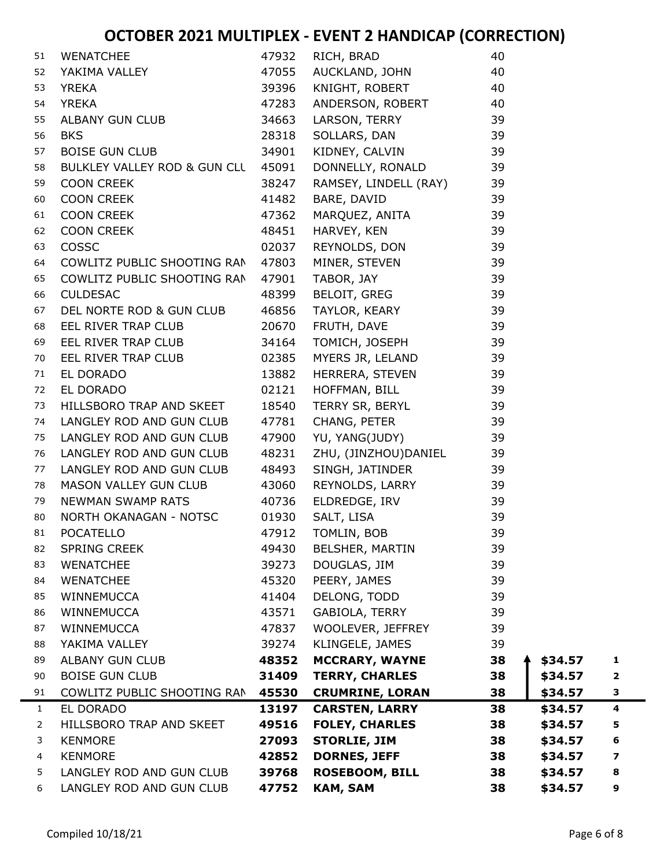| 51             | <b>WENATCHEE</b>             | 47932 | RICH, BRAD             | 40 |         |                         |  |
|----------------|------------------------------|-------|------------------------|----|---------|-------------------------|--|
| 52             | YAKIMA VALLEY                | 47055 | AUCKLAND, JOHN         | 40 |         |                         |  |
| 53             | <b>YREKA</b>                 | 39396 | KNIGHT, ROBERT         | 40 |         |                         |  |
| 54             | <b>YREKA</b>                 | 47283 | ANDERSON, ROBERT       | 40 |         |                         |  |
| 55             | ALBANY GUN CLUB              | 34663 | LARSON, TERRY          | 39 |         |                         |  |
| 56             | <b>BKS</b>                   | 28318 | SOLLARS, DAN           | 39 |         |                         |  |
| 57             | <b>BOISE GUN CLUB</b>        | 34901 | KIDNEY, CALVIN         | 39 |         |                         |  |
| 58             | BULKLEY VALLEY ROD & GUN CLL | 45091 | DONNELLY, RONALD       | 39 |         |                         |  |
| 59             | <b>COON CREEK</b>            | 38247 | RAMSEY, LINDELL (RAY)  | 39 |         |                         |  |
| 60             | <b>COON CREEK</b>            | 41482 | BARE, DAVID            | 39 |         |                         |  |
| 61             | <b>COON CREEK</b>            | 47362 | MARQUEZ, ANITA         | 39 |         |                         |  |
| 62             | <b>COON CREEK</b>            | 48451 | HARVEY, KEN            | 39 |         |                         |  |
| 63             | COSSC                        | 02037 | REYNOLDS, DON          | 39 |         |                         |  |
| 64             | COWLITZ PUBLIC SHOOTING RAN  | 47803 | MINER, STEVEN          | 39 |         |                         |  |
| 65             | COWLITZ PUBLIC SHOOTING RAN  | 47901 | TABOR, JAY             | 39 |         |                         |  |
| 66             | <b>CULDESAC</b>              | 48399 | <b>BELOIT, GREG</b>    | 39 |         |                         |  |
| 67             | DEL NORTE ROD & GUN CLUB     | 46856 | TAYLOR, KEARY          | 39 |         |                         |  |
| 68             | EEL RIVER TRAP CLUB          | 20670 | FRUTH, DAVE            | 39 |         |                         |  |
| 69             | EEL RIVER TRAP CLUB          | 34164 | TOMICH, JOSEPH         | 39 |         |                         |  |
| 70             | EEL RIVER TRAP CLUB          | 02385 | MYERS JR, LELAND       | 39 |         |                         |  |
| 71             | EL DORADO                    | 13882 | HERRERA, STEVEN        | 39 |         |                         |  |
| 72             | EL DORADO                    | 02121 | HOFFMAN, BILL          | 39 |         |                         |  |
| 73             | HILLSBORO TRAP AND SKEET     | 18540 | TERRY SR, BERYL        | 39 |         |                         |  |
| 74             | LANGLEY ROD AND GUN CLUB     | 47781 | CHANG, PETER           | 39 |         |                         |  |
| 75             | LANGLEY ROD AND GUN CLUB     | 47900 | YU, YANG(JUDY)         | 39 |         |                         |  |
| 76             | LANGLEY ROD AND GUN CLUB     | 48231 | ZHU, (JINZHOU)DANIEL   | 39 |         |                         |  |
| 77             | LANGLEY ROD AND GUN CLUB     | 48493 | SINGH, JATINDER        | 39 |         |                         |  |
| 78             | MASON VALLEY GUN CLUB        | 43060 | REYNOLDS, LARRY        | 39 |         |                         |  |
| 79             | <b>NEWMAN SWAMP RATS</b>     | 40736 | ELDREDGE, IRV          | 39 |         |                         |  |
| 80             | NORTH OKANAGAN - NOTSC       | 01930 | SALT, LISA             | 39 |         |                         |  |
| 81             | <b>POCATELLO</b>             | 47912 | TOMLIN, BOB            | 39 |         |                         |  |
| 82             | <b>SPRING CREEK</b>          | 49430 | <b>BELSHER, MARTIN</b> | 39 |         |                         |  |
| 83             | <b>WENATCHEE</b>             | 39273 | DOUGLAS, JIM           | 39 |         |                         |  |
| 84             | <b>WENATCHEE</b>             | 45320 | PEERY, JAMES           | 39 |         |                         |  |
| 85             | WINNEMUCCA                   | 41404 | DELONG, TODD           | 39 |         |                         |  |
| 86             | <b>WINNEMUCCA</b>            | 43571 | GABIOLA, TERRY         | 39 |         |                         |  |
| 87             | <b>WINNEMUCCA</b>            | 47837 | WOOLEVER, JEFFREY      | 39 |         |                         |  |
| 88             | YAKIMA VALLEY                | 39274 | KLINGELE, JAMES        | 39 |         |                         |  |
| 89             | <b>ALBANY GUN CLUB</b>       | 48352 | <b>MCCRARY, WAYNE</b>  | 38 | \$34.57 | 1                       |  |
| 90             | <b>BOISE GUN CLUB</b>        | 31409 | <b>TERRY, CHARLES</b>  | 38 | \$34.57 | $\overline{\mathbf{2}}$ |  |
| 91             | COWLITZ PUBLIC SHOOTING RAN  | 45530 | <b>CRUMRINE, LORAN</b> | 38 | \$34.57 | 3                       |  |
| $\mathbf{1}$   | EL DORADO                    | 13197 | <b>CARSTEN, LARRY</b>  | 38 | \$34.57 | $\overline{\mathbf{4}}$ |  |
| $\overline{2}$ | HILLSBORO TRAP AND SKEET     | 49516 | <b>FOLEY, CHARLES</b>  | 38 | \$34.57 | 5                       |  |
| 3              | <b>KENMORE</b>               | 27093 | <b>STORLIE, JIM</b>    | 38 | \$34.57 | 6                       |  |
| 4              | <b>KENMORE</b>               | 42852 | <b>DORNES, JEFF</b>    | 38 | \$34.57 | 7                       |  |
| 5              | LANGLEY ROD AND GUN CLUB     | 39768 | <b>ROSEBOOM, BILL</b>  | 38 | \$34.57 | 8                       |  |
| 6              | LANGLEY ROD AND GUN CLUB     | 47752 | <b>KAM, SAM</b>        | 38 | \$34.57 | 9                       |  |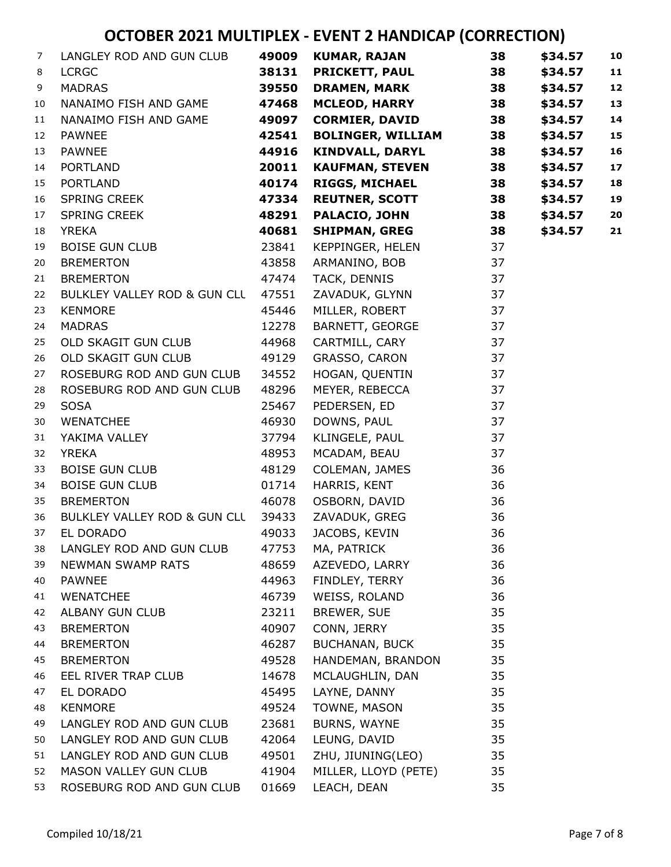| $\overline{7}$ | LANGLEY ROD AND GUN CLUB     | 49009 | KUMAR, RAJAN             | 38 | \$34.57 | 10 |
|----------------|------------------------------|-------|--------------------------|----|---------|----|
| 8              | <b>LCRGC</b>                 | 38131 | <b>PRICKETT, PAUL</b>    | 38 | \$34.57 | 11 |
| 9              | <b>MADRAS</b>                | 39550 | <b>DRAMEN, MARK</b>      | 38 | \$34.57 | 12 |
| 10             | NANAIMO FISH AND GAME        | 47468 | <b>MCLEOD, HARRY</b>     | 38 | \$34.57 | 13 |
| 11             | NANAIMO FISH AND GAME        | 49097 | <b>CORMIER, DAVID</b>    | 38 | \$34.57 | 14 |
| 12             | <b>PAWNEE</b>                | 42541 | <b>BOLINGER, WILLIAM</b> | 38 | \$34.57 | 15 |
| 13             | <b>PAWNEE</b>                | 44916 | <b>KINDVALL, DARYL</b>   | 38 | \$34.57 | 16 |
| 14             | <b>PORTLAND</b>              | 20011 | <b>KAUFMAN, STEVEN</b>   | 38 | \$34.57 | 17 |
| 15             | <b>PORTLAND</b>              | 40174 | <b>RIGGS, MICHAEL</b>    | 38 | \$34.57 | 18 |
| 16             | SPRING CREEK                 | 47334 | <b>REUTNER, SCOTT</b>    | 38 | \$34.57 | 19 |
| 17             | SPRING CREEK                 | 48291 | <b>PALACIO, JOHN</b>     | 38 | \$34.57 | 20 |
| 18             | <b>YREKA</b>                 | 40681 | <b>SHIPMAN, GREG</b>     | 38 | \$34.57 | 21 |
| 19             | <b>BOISE GUN CLUB</b>        | 23841 | KEPPINGER, HELEN         | 37 |         |    |
| 20             | <b>BREMERTON</b>             | 43858 | ARMANINO, BOB            | 37 |         |    |
| 21             | <b>BREMERTON</b>             | 47474 | TACK, DENNIS             | 37 |         |    |
| 22             | BULKLEY VALLEY ROD & GUN CLL | 47551 | ZAVADUK, GLYNN           | 37 |         |    |
| 23             | <b>KENMORE</b>               | 45446 | MILLER, ROBERT           | 37 |         |    |
| 24             | <b>MADRAS</b>                | 12278 | BARNETT, GEORGE          | 37 |         |    |
| 25             | OLD SKAGIT GUN CLUB          | 44968 | CARTMILL, CARY           | 37 |         |    |
| 26             | OLD SKAGIT GUN CLUB          | 49129 | GRASSO, CARON            | 37 |         |    |
| 27             | ROSEBURG ROD AND GUN CLUB    | 34552 | HOGAN, QUENTIN           | 37 |         |    |
| 28             | ROSEBURG ROD AND GUN CLUB    | 48296 | MEYER, REBECCA           | 37 |         |    |
| 29             | <b>SOSA</b>                  | 25467 | PEDERSEN, ED             | 37 |         |    |
| 30             | <b>WENATCHEE</b>             | 46930 | DOWNS, PAUL              | 37 |         |    |
| 31             | YAKIMA VALLEY                | 37794 | KLINGELE, PAUL           | 37 |         |    |
| 32             | <b>YREKA</b>                 | 48953 | MCADAM, BEAU             | 37 |         |    |
| 33             | <b>BOISE GUN CLUB</b>        | 48129 | COLEMAN, JAMES           | 36 |         |    |
| 34             | <b>BOISE GUN CLUB</b>        | 01714 | HARRIS, KENT             | 36 |         |    |
| 35             | <b>BREMERTON</b>             | 46078 | OSBORN, DAVID            | 36 |         |    |
| 36             | BULKLEY VALLEY ROD & GUN CLL | 39433 | ZAVADUK, GREG            | 36 |         |    |
| 37             | EL DORADO                    | 49033 | JACOBS, KEVIN            | 36 |         |    |
| 38             | LANGLEY ROD AND GUN CLUB     | 47753 | MA, PATRICK              | 36 |         |    |
| 39             | <b>NEWMAN SWAMP RATS</b>     | 48659 | AZEVEDO, LARRY           | 36 |         |    |
| 40             | <b>PAWNEE</b>                | 44963 | FINDLEY, TERRY           | 36 |         |    |
| 41             | <b>WENATCHEE</b>             | 46739 | WEISS, ROLAND            | 36 |         |    |
| 42             | ALBANY GUN CLUB              | 23211 | BREWER, SUE              | 35 |         |    |
| 43             | <b>BREMERTON</b>             | 40907 | CONN, JERRY              | 35 |         |    |
| 44             | <b>BREMERTON</b>             | 46287 | <b>BUCHANAN, BUCK</b>    | 35 |         |    |
| 45             | <b>BREMERTON</b>             | 49528 | HANDEMAN, BRANDON        | 35 |         |    |
| 46             | EEL RIVER TRAP CLUB          | 14678 | MCLAUGHLIN, DAN          | 35 |         |    |
| 47             | EL DORADO                    | 45495 | LAYNE, DANNY             | 35 |         |    |
| 48             | <b>KENMORE</b>               | 49524 | TOWNE, MASON             | 35 |         |    |
| 49             | LANGLEY ROD AND GUN CLUB     | 23681 | BURNS, WAYNE             | 35 |         |    |
| 50             | LANGLEY ROD AND GUN CLUB     | 42064 | LEUNG, DAVID             | 35 |         |    |
| 51             | LANGLEY ROD AND GUN CLUB     | 49501 | ZHU, JIUNING(LEO)        | 35 |         |    |
| 52             | MASON VALLEY GUN CLUB        | 41904 | MILLER, LLOYD (PETE)     | 35 |         |    |
| 53             | ROSEBURG ROD AND GUN CLUB    | 01669 | LEACH, DEAN              | 35 |         |    |